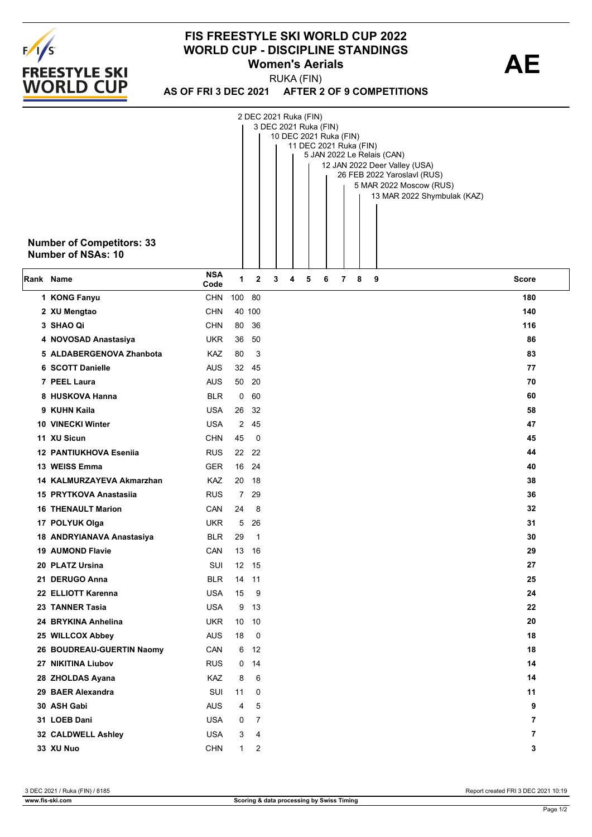

## **FIS FREESTYLE SKI WORLD CUP 2022 WORLD CUP - DISCIPLINE STANDINGS<br>
Women's Aerials<br>
AE Women's Aerials**

**AS OF FRI 3 DEC 2021 AFTER 2 OF 9 COMPETITIONS** RUKA (FIN)

|           |                                  |                    |                       | 2 DEC 2021 Ruka (FIN) |   |   |   |                                                  |   |   |   |                                                        |       |
|-----------|----------------------------------|--------------------|-----------------------|-----------------------|---|---|---|--------------------------------------------------|---|---|---|--------------------------------------------------------|-------|
|           |                                  |                    |                       |                       |   |   |   | 3 DEC 2021 Ruka (FIN)                            |   |   |   |                                                        |       |
|           |                                  |                    |                       |                       |   |   |   | 10 DEC 2021 Ruka (FIN)<br>11 DEC 2021 Ruka (FIN) |   |   |   |                                                        |       |
|           |                                  |                    |                       |                       |   |   |   |                                                  |   |   |   | 5 JAN 2022 Le Relais (CAN)                             |       |
|           |                                  |                    |                       |                       |   |   |   |                                                  |   |   |   | 12 JAN 2022 Deer Valley (USA)                          |       |
|           |                                  |                    |                       |                       |   |   |   |                                                  |   |   |   | 26 FEB 2022 Yaroslavl (RUS)<br>5 MAR 2022 Moscow (RUS) |       |
|           |                                  |                    |                       |                       |   |   |   |                                                  |   |   |   | 13 MAR 2022 Shymbulak (KAZ)                            |       |
|           |                                  |                    |                       |                       |   |   |   |                                                  |   |   |   |                                                        |       |
|           |                                  |                    |                       |                       |   |   |   |                                                  |   |   |   |                                                        |       |
|           |                                  |                    |                       |                       |   |   |   |                                                  |   |   |   |                                                        |       |
|           | <b>Number of Competitors: 33</b> |                    |                       |                       |   |   |   |                                                  |   |   |   |                                                        |       |
|           | <b>Number of NSAs: 10</b>        |                    |                       |                       |   |   |   |                                                  |   |   |   |                                                        |       |
| Rank Name |                                  | <b>NSA</b>         | 1                     | $\mathbf{2}$          | 3 | 4 | 5 | 6                                                | 7 | 8 | 9 |                                                        | Score |
|           | 1 KONG Fanyu                     | Code<br><b>CHN</b> | 100                   | - 80                  |   |   |   |                                                  |   |   |   |                                                        | 180   |
|           | 2 XU Mengtao                     | <b>CHN</b>         |                       | 40 100                |   |   |   |                                                  |   |   |   |                                                        | 140   |
|           | 3 SHAO Qi                        | <b>CHN</b>         | 80                    | 36                    |   |   |   |                                                  |   |   |   |                                                        | 116   |
|           | 4 NOVOSAD Anastasiya             | <b>UKR</b>         | 36                    | 50                    |   |   |   |                                                  |   |   |   |                                                        | 86    |
|           | 5 ALDABERGENOVA Zhanbota         | KAZ                | 80                    | 3                     |   |   |   |                                                  |   |   |   |                                                        | 83    |
|           | 6 SCOTT Danielle                 | <b>AUS</b>         | 32                    | 45                    |   |   |   |                                                  |   |   |   |                                                        | 77    |
|           | 7 PEEL Laura                     | <b>AUS</b>         | 50                    | - 20                  |   |   |   |                                                  |   |   |   |                                                        | 70    |
|           | 8 HUSKOVA Hanna                  | <b>BLR</b>         | 0                     | 60                    |   |   |   |                                                  |   |   |   |                                                        | 60    |
|           | 9 KUHN Kaila                     | <b>USA</b>         | 26                    | 32                    |   |   |   |                                                  |   |   |   |                                                        | 58    |
|           | <b>10 VINECKI Winter</b>         | <b>USA</b>         | $\mathbf{2}^{\prime}$ | 45                    |   |   |   |                                                  |   |   |   |                                                        | 47    |
|           | 11 XU Sicun                      | <b>CHN</b>         | 45                    | 0                     |   |   |   |                                                  |   |   |   |                                                        | 45    |
|           | <b>12 PANTIUKHOVA Esenija</b>    | <b>RUS</b>         | 22                    | 22                    |   |   |   |                                                  |   |   |   |                                                        | 44    |
|           | 13 WEISS Emma                    | <b>GER</b>         | 16                    | 24                    |   |   |   |                                                  |   |   |   |                                                        | 40    |
|           | 14 KALMURZAYEVA Akmarzhan        | KAZ                | 20                    | - 18                  |   |   |   |                                                  |   |   |   |                                                        | 38    |
|           | 15 PRYTKOVA Anastasiia           | <b>RUS</b>         | $\overline{7}$        | 29                    |   |   |   |                                                  |   |   |   |                                                        | 36    |
|           | <b>16 THENAULT Marion</b>        | CAN                | 24                    | 8                     |   |   |   |                                                  |   |   |   |                                                        | 32    |
|           | 17 POLYUK Olga                   | <b>UKR</b>         | 5                     | 26                    |   |   |   |                                                  |   |   |   |                                                        | 31    |
|           | 18 ANDRYIANAVA Anastasiya        | <b>BLR</b>         | 29                    | $\mathbf{1}$          |   |   |   |                                                  |   |   |   |                                                        | 30    |
|           | <b>19 AUMOND Flavie</b>          | CAN                |                       | 13 16                 |   |   |   |                                                  |   |   |   |                                                        | 29    |
|           | 20 PLATZ Ursina                  | SUI                |                       | 12 15                 |   |   |   |                                                  |   |   |   |                                                        | 27    |
|           | 21 DERUGO Anna                   | <b>BLR</b>         | 14                    | 11                    |   |   |   |                                                  |   |   |   |                                                        | 25    |
|           | 22 ELLIOTT Karenna               | <b>USA</b>         | 15                    | 9                     |   |   |   |                                                  |   |   |   |                                                        | 24    |
|           | 23 TANNER Tasia                  | <b>USA</b>         | 9                     | 13                    |   |   |   |                                                  |   |   |   |                                                        | 22    |
|           | 24 BRYKINA Anhelina              | <b>UKR</b>         | 10                    | 10                    |   |   |   |                                                  |   |   |   |                                                        | 20    |
|           | 25 WILLCOX Abbey                 | <b>AUS</b>         | 18                    | 0                     |   |   |   |                                                  |   |   |   |                                                        | 18    |
|           | 26 BOUDREAU-GUERTIN Naomy        | CAN                | 6                     | 12                    |   |   |   |                                                  |   |   |   |                                                        | 18    |
|           | 27 NIKITINA Liubov               | <b>RUS</b>         | 0                     | 14                    |   |   |   |                                                  |   |   |   |                                                        | 14    |
|           | 28 ZHOLDAS Ayana                 | <b>KAZ</b>         | 8                     | 6                     |   |   |   |                                                  |   |   |   |                                                        | 14    |
|           | 29 BAER Alexandra                | SUI                | 11                    | 0                     |   |   |   |                                                  |   |   |   |                                                        | 11    |
|           | 30 ASH Gabi                      | <b>AUS</b>         | 4                     | 5                     |   |   |   |                                                  |   |   |   |                                                        | 9     |
|           | 31 LOEB Dani                     | <b>USA</b>         | 0                     | 7                     |   |   |   |                                                  |   |   |   |                                                        | 7     |
|           | 32 CALDWELL Ashley               | <b>USA</b>         | 3                     | 4                     |   |   |   |                                                  |   |   |   |                                                        | 7     |
|           | 33 XU Nuo                        | <b>CHN</b>         | $1 \quad$             | $\overline{2}$        |   |   |   |                                                  |   |   |   |                                                        | 3     |

3 DEC 2021 / Ruka (FIN) / 8185 Report created FRI 3 DEC 2021 10:19